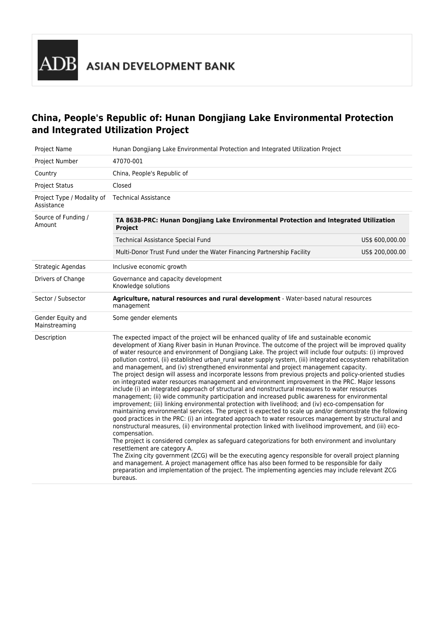# **China, People's Republic of: Hunan Dongjiang Lake Environmental Protection and Integrated Utilization Project**

| Project Name                             | Hunan Dongjiang Lake Environmental Protection and Integrated Utilization Project                                                                                                                                                                                                                                                                                                                                                                                                                                                                                                                                                                                                                                                                                                                                                                                                                                                                                                                                                                                                                                                                                                                                                                                                                                                                                                                                                                                                                                                                                                                                                                                                                                                                                                                                                                                           |  |  |  |  |
|------------------------------------------|----------------------------------------------------------------------------------------------------------------------------------------------------------------------------------------------------------------------------------------------------------------------------------------------------------------------------------------------------------------------------------------------------------------------------------------------------------------------------------------------------------------------------------------------------------------------------------------------------------------------------------------------------------------------------------------------------------------------------------------------------------------------------------------------------------------------------------------------------------------------------------------------------------------------------------------------------------------------------------------------------------------------------------------------------------------------------------------------------------------------------------------------------------------------------------------------------------------------------------------------------------------------------------------------------------------------------------------------------------------------------------------------------------------------------------------------------------------------------------------------------------------------------------------------------------------------------------------------------------------------------------------------------------------------------------------------------------------------------------------------------------------------------------------------------------------------------------------------------------------------------|--|--|--|--|
| Project Number                           | 47070-001                                                                                                                                                                                                                                                                                                                                                                                                                                                                                                                                                                                                                                                                                                                                                                                                                                                                                                                                                                                                                                                                                                                                                                                                                                                                                                                                                                                                                                                                                                                                                                                                                                                                                                                                                                                                                                                                  |  |  |  |  |
| Country                                  | China, People's Republic of                                                                                                                                                                                                                                                                                                                                                                                                                                                                                                                                                                                                                                                                                                                                                                                                                                                                                                                                                                                                                                                                                                                                                                                                                                                                                                                                                                                                                                                                                                                                                                                                                                                                                                                                                                                                                                                |  |  |  |  |
| Project Status                           | Closed                                                                                                                                                                                                                                                                                                                                                                                                                                                                                                                                                                                                                                                                                                                                                                                                                                                                                                                                                                                                                                                                                                                                                                                                                                                                                                                                                                                                                                                                                                                                                                                                                                                                                                                                                                                                                                                                     |  |  |  |  |
| Project Type / Modality of<br>Assistance | <b>Technical Assistance</b>                                                                                                                                                                                                                                                                                                                                                                                                                                                                                                                                                                                                                                                                                                                                                                                                                                                                                                                                                                                                                                                                                                                                                                                                                                                                                                                                                                                                                                                                                                                                                                                                                                                                                                                                                                                                                                                |  |  |  |  |
| Source of Funding /<br>Amount            | TA 8638-PRC: Hunan Dongjiang Lake Environmental Protection and Integrated Utilization<br>Project                                                                                                                                                                                                                                                                                                                                                                                                                                                                                                                                                                                                                                                                                                                                                                                                                                                                                                                                                                                                                                                                                                                                                                                                                                                                                                                                                                                                                                                                                                                                                                                                                                                                                                                                                                           |  |  |  |  |
|                                          | <b>Technical Assistance Special Fund</b><br>US\$ 600,000.00                                                                                                                                                                                                                                                                                                                                                                                                                                                                                                                                                                                                                                                                                                                                                                                                                                                                                                                                                                                                                                                                                                                                                                                                                                                                                                                                                                                                                                                                                                                                                                                                                                                                                                                                                                                                                |  |  |  |  |
|                                          | Multi-Donor Trust Fund under the Water Financing Partnership Facility<br>US\$ 200,000.00                                                                                                                                                                                                                                                                                                                                                                                                                                                                                                                                                                                                                                                                                                                                                                                                                                                                                                                                                                                                                                                                                                                                                                                                                                                                                                                                                                                                                                                                                                                                                                                                                                                                                                                                                                                   |  |  |  |  |
| Strategic Agendas                        | Inclusive economic growth                                                                                                                                                                                                                                                                                                                                                                                                                                                                                                                                                                                                                                                                                                                                                                                                                                                                                                                                                                                                                                                                                                                                                                                                                                                                                                                                                                                                                                                                                                                                                                                                                                                                                                                                                                                                                                                  |  |  |  |  |
| Drivers of Change                        | Governance and capacity development<br>Knowledge solutions                                                                                                                                                                                                                                                                                                                                                                                                                                                                                                                                                                                                                                                                                                                                                                                                                                                                                                                                                                                                                                                                                                                                                                                                                                                                                                                                                                                                                                                                                                                                                                                                                                                                                                                                                                                                                 |  |  |  |  |
| Sector / Subsector                       | Agriculture, natural resources and rural development - Water-based natural resources<br>management                                                                                                                                                                                                                                                                                                                                                                                                                                                                                                                                                                                                                                                                                                                                                                                                                                                                                                                                                                                                                                                                                                                                                                                                                                                                                                                                                                                                                                                                                                                                                                                                                                                                                                                                                                         |  |  |  |  |
| Gender Equity and<br>Mainstreaming       | Some gender elements                                                                                                                                                                                                                                                                                                                                                                                                                                                                                                                                                                                                                                                                                                                                                                                                                                                                                                                                                                                                                                                                                                                                                                                                                                                                                                                                                                                                                                                                                                                                                                                                                                                                                                                                                                                                                                                       |  |  |  |  |
| Description                              | The expected impact of the project will be enhanced quality of life and sustainable economic<br>development of Xiang River basin in Hunan Province. The outcome of the project will be improved quality<br>of water resource and environment of Dongjiang Lake. The project will include four outputs: (i) improved<br>pollution control, (ii) established urban_rural water supply system, (iii) integrated ecosystem rehabilitation<br>and management, and (iv) strengthened environmental and project management capacity.<br>The project design will assess and incorporate lessons from previous projects and policy-oriented studies<br>on integrated water resources management and environment improvement in the PRC. Major lessons<br>include (i) an integrated approach of structural and nonstructural measures to water resources<br>management; (ii) wide community participation and increased public awareness for environmental<br>improvement; (iii) linking environmental protection with livelihood; and (iv) eco-compensation for<br>maintaining environmental services. The project is expected to scale up and/or demonstrate the following<br>good practices in the PRC: (i) an integrated approach to water resources management by structural and<br>nonstructural measures, (ii) environmental protection linked with livelihood improvement, and (iii) eco-<br>compensation.<br>The project is considered complex as safeguard categorizations for both environment and involuntary<br>resettlement are category A.<br>The Zixing city government (ZCG) will be the executing agency responsible for overall project planning<br>and management. A project management office has also been formed to be responsible for daily<br>preparation and implementation of the project. The implementing agencies may include relevant ZCG<br>bureaus. |  |  |  |  |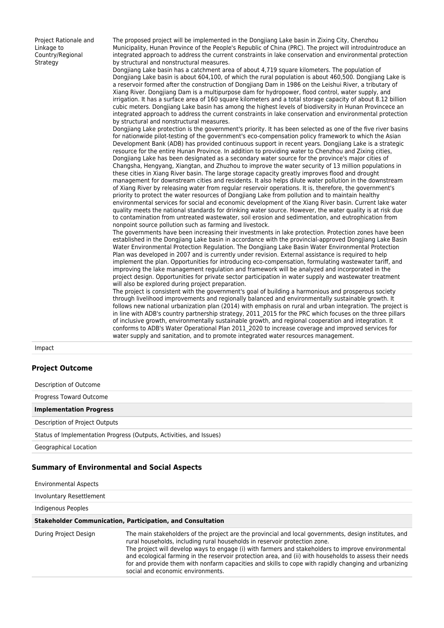Project Rationale and Linkage to Country/Regional **Strategy** 

The proposed project will be implemented in the Dongjiang Lake basin in Zixing City, Chenzhou Municipality, Hunan Province of the People's Republic of China (PRC). The project will introduintroduce an integrated approach to address the current constraints in lake conservation and environmental protection by structural and nonstructural measures.

Dongjiang Lake basin has a catchment area of about 4,719 square kilometers. The population of Dongjiang Lake basin is about 604,100, of which the rural population is about 460,500. Dongjiang Lake is a reservoir formed after the construction of Dongjiang Dam in 1986 on the Leishui River, a tributary of Xiang River. Dongjiang Dam is a multipurpose dam for hydropower, flood control, water supply, and irrigation. It has a surface area of 160 square kilometers and a total storage capacity of about 8.12 billion cubic meters. Dongjiang Lake basin has among the highest levels of biodiversity in Hunan Provincece an integrated approach to address the current constraints in lake conservation and environmental protection by structural and nonstructural measures.

Dongjiang Lake protection is the government's priority. It has been selected as one of the five river basins for nationwide pilot-testing of the government's eco-compensation policy framework to which the Asian Development Bank (ADB) has provided continuous support in recent years. Dongjiang Lake is a strategic resource for the entire Hunan Province. In addition to providing water to Chenzhou and Zixing cities, Dongjiang Lake has been designated as a secondary water source for the province's major cities of Changsha, Hengyang, Xiangtan, and Zhuzhou to improve the water security of 13 million populations in these cities in Xiang River basin. The large storage capacity greatly improves flood and drought management for downstream cities and residents. It also helps dilute water pollution in the downstream of Xiang River by releasing water from regular reservoir operations. It is, therefore, the government's priority to protect the water resources of Dongjiang Lake from pollution and to maintain healthy environmental services for social and economic development of the Xiang River basin. Current lake water quality meets the national standards for drinking water source. However, the water quality is at risk due to contamination from untreated wastewater, soil erosion and sedimentation, and eutrophication from nonpoint source pollution such as farming and livestock.

The governments have been increasing their investments in lake protection. Protection zones have been established in the Dongjiang Lake basin in accordance with the provincial-approved Dongjiang Lake Basin Water Environmental Protection Regulation. The Dongjiang Lake Basin Water Environmental Protection Plan was developed in 2007 and is currently under revision. External assistance is required to help implement the plan. Opportunities for introducing eco-compensation, formulating wastewater tariff, and improving the lake management regulation and framework will be analyzed and incorporated in the project design. Opportunities for private sector participation in water supply and wastewater treatment will also be explored during project preparation.

The project is consistent with the government's goal of building a harmonious and prosperous society through livelihood improvements and regionally balanced and environmentally sustainable growth. It follows new national urbanization plan (2014) with emphasis on rural and urban integration. The project is in line with ADB's country partnership strategy, 2011\_2015 for the PRC which focuses on the three pillars of inclusive growth, environmentally sustainable growth, and regional cooperation and integration. It conforms to ADB's Water Operational Plan 2011\_2020 to increase coverage and improved services for water supply and sanitation, and to promote integrated water resources management.

Impact

### **Project Outcome**

Description of Outcome Progress Toward Outcome **Implementation Progress** Description of Project Outputs Status of Implementation Progress (Outputs, Activities, and Issues) Geographical Location

### **Summary of Environmental and Social Aspects**

Environmental Aspects Involuntary Resettlement Indigenous Peoples **Stakeholder Communication, Participation, and Consultation** During Project Design The main stakeholders of the project are the provincial and local governments, design institutes, and rural households, including rural households in reservoir protection zone. The project will develop ways to engage (i) with farmers and stakeholders to improve environmental and ecological farming in the reservoir protection area, and (ii) with households to assess their needs for and provide them with nonfarm capacities and skills to cope with rapidly changing and urbanizing social and economic environments.